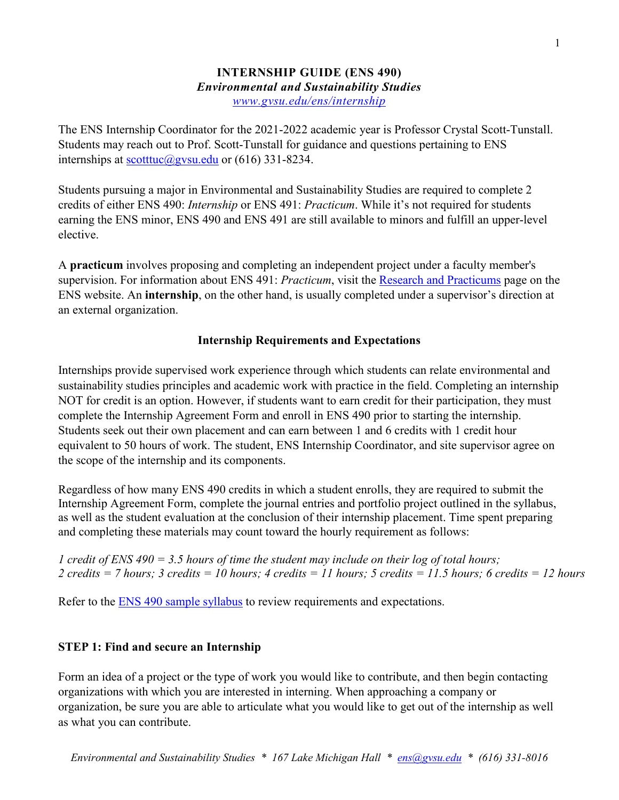#### **INTERNSHIP GUIDE (ENS 490)** *Environmental and Sustainability Studies [www.gvsu.edu/ens/internship](http://www.gvsu.edu/ens/internship)*

The ENS Internship Coordinator for the 2021-2022 academic year is Professor Crystal Scott-Tunstall. Students may reach out to Prof. Scott-Tunstall for guidance and questions pertaining to ENS internships at [scotttuc@gvsu.edu](mailto:scotttuc@gvsu.edu) or  $(616)$  331-8234.

Students pursuing a major in Environmental and Sustainability Studies are required to complete 2 credits of either ENS 490: *Internship* or ENS 491: *Practicum*. While it's not required for students earning the ENS minor, ENS 490 and ENS 491 are still available to minors and fulfill an upper-level elective.

A **practicum** involves proposing and completing an independent project under a faculty member's supervision. For information about ENS 491: *Practicum*, visit the [Research and Practicums](https://www.gvsu.edu/ens/practicum) page on the ENS website. An **internship**, on the other hand, is usually completed under a supervisor's direction at an external organization.

## **Internship Requirements and Expectations**

Internships provide supervised work experience through which students can relate environmental and sustainability studies principles and academic work with practice in the field. Completing an internship NOT for credit is an option. However, if students want to earn credit for their participation, they must complete the Internship Agreement Form and enroll in ENS 490 prior to starting the internship. Students seek out their own placement and can earn between 1 and 6 credits with 1 credit hour equivalent to 50 hours of work. The student, ENS Internship Coordinator, and site supervisor agree on the scope of the internship and its components.

Regardless of how many ENS 490 credits in which a student enrolls, they are required to submit the Internship Agreement Form, complete the journal entries and portfolio project outlined in the syllabus, as well as the student evaluation at the conclusion of their internship placement. Time spent preparing and completing these materials may count toward the hourly requirement as follows:

*1 credit of ENS 490 = 3.5 hours of time the student may include on their log of total hours; 2 credits = 7 hours; 3 credits = 10 hours; 4 credits = 11 hours; 5 credits = 11.5 hours; 6 credits = 12 hours*

Refer to the [ENS 490 sample syllabus](https://drive.google.com/file/d/1mWVuI6VRDe_1J5Q58OmCgCv44m6CZFsH/view?usp=sharinghttps://drive.google.com/file/d/1mWVuI6VRDe_1J5Q58OmCgCv44m6CZFsH/view?usp=sharinghttps://drive.google.com/file/d/1mWVuI6VRDe_1J5Q58OmCgCv44m6CZFsH/view?usp=sharinghttps://drive.google.com/file/d/1mWVuI6VRDe_1J5Q58OmCgCv44m6CZFsH/view?usp=sharinghttps://drive.google.com/file/d/1mWVuI6VRDe_1J5Q58OmCgCv44m6CZFsH/view?usp=sharinghttps://drive.google.com/file/d/1mWVuI6VRDe_1J5Q58OmCgCv44m6CZFsH/view?usp=sharinghttps://drive.google.com/file/d/1mWVuI6VRDe_1J5Q58OmCgCv44m6CZFsH/view?usp=sharinghttps://drive.google.com/file/d/1mWVuI6VRDe_1J5Q58OmCgCv44m6CZFsH/view?usp=sharinghttps://drive.google.com/file/d/1mWVuI6VRDe_1J5Q58OmCgCv44m6CZFsH/view?usp=sharinghttps://drive.google.com/file/d/1mWVuI6VRDe_1J5Q58OmCgCv44m6CZFsH/view?usp=sharinghttps://drive.google.com/file/d/1mWVuI6VRDe_1J5Q58OmCgCv44m6CZFsH/view?usp=sharinghttps://drive.google.com/file/d/1mWVuI6VRDe_1J5Q58OmCgCv44m6CZFsH/view?usp=sharinghttps://drive.google.com/file/d/1mWVuI6VRDe_1J5Q58OmCgCv44m6CZFsH/view?usp=sharinghttps://drive.google.com/file/d/1mWVuI6VRDe_1J5Q58OmCgCv44m6CZFsH/view?usp=sharinghttps://drive.google.com/file/d/1mWVuI6VRDe_1J5Q58OmCgCv44m6CZFsH/view?usp=sharinghttps://drive.google.com/file/d/1mWVuI6VRDe_1J5Q58OmCgCv44m6CZFsH/view?usp=sharing) to review requirements and expectations.

# **STEP 1: Find and secure an Internship**

Form an idea of a project or the type of work you would like to contribute, and then begin contacting organizations with which you are interested in interning. When approaching a company or organization, be sure you are able to articulate what you would like to get out of the internship as well as what you can contribute.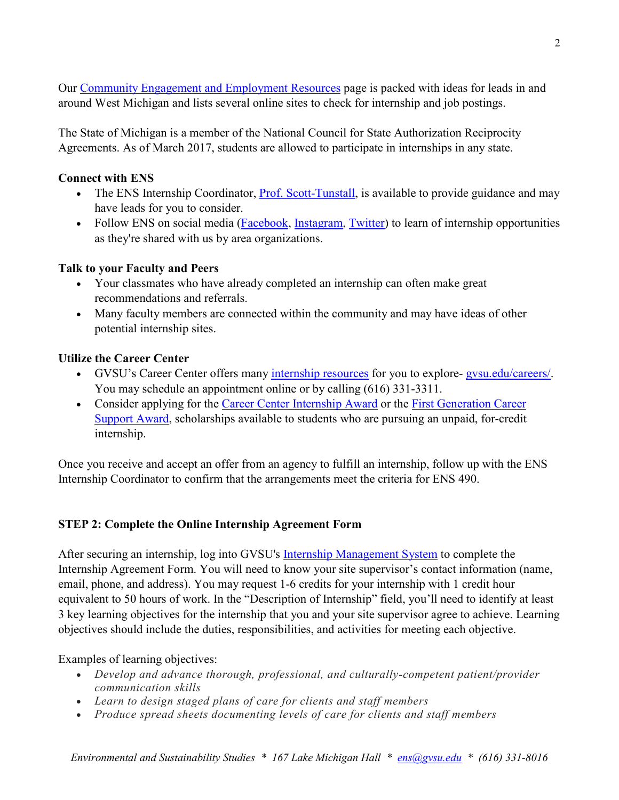Our [Community Engagement and Employment](https://www.gvsu.edu/ens/community-engagement-and-employment-resources-14.htm) Resources page is packed with ideas for leads in and around West Michigan and lists several online sites to check for internship and job postings.

The State of Michigan is a member of the National Council for State Authorization Reciprocity Agreements. As of March 2017, students are allowed to participate in internships in any state.

### **Connect with ENS**

- The ENS Internship Coordinator, [Prof. Scott-Tunstall,](mailto:scotttuc@gvsu.edu) is available to provide guidance and may have leads for you to consider.
- Follow ENS on social media [\(Facebook,](https://www.facebook.com/ensgvsu) [Instagram,](https://www.instagram.com/ensgvsu/) [Twitter\)](https://twitter.com/ensgvsu) to learn of internship opportunities as they're shared with us by area organizations.

## **Talk to your Faculty and Peers**

- Your classmates who have already completed an internship can often make great recommendations and referrals.
- Many faculty members are connected within the community and may have ideas of other potential internship sites.

# **Utilize the Career Center**

- GVSU's Career Center offers many [internship resources](https://www.gvsu.edu/careers/internship-145.htm) for you to explore-gysu.edu/careers/. You may schedule an appointment online or by calling (616) 331-3311.
- Consider applying for the [Career Center Internship Award](https://www.gvsu.edu/careers/career-center-internship-award-59.htm) or the First Generation Career [Support Award,](https://www.gvsu.edu/careers/career-center-internship-award-59.htm) scholarships available to students who are pursuing an unpaid, for-credit internship.

Once you receive and accept an offer from an agency to fulfill an internship, follow up with the ENS Internship Coordinator to confirm that the arrangements meet the criteria for ENS 490.

# **STEP 2: Complete the Online Internship Agreement Form**

After securing an internship, log into GVSU's [Internship Management System](https://www.gvsu.edu/careers/internship-agreement-form-60.htm) to complete the Internship Agreement Form. You will need to know your site supervisor's contact information (name, email, phone, and address). You may request 1-6 credits for your internship with 1 credit hour equivalent to 50 hours of work. In the "Description of Internship" field, you'll need to identify at least 3 key learning objectives for the internship that you and your site supervisor agree to achieve. Learning objectives should include the duties, responsibilities, and activities for meeting each objective.

Examples of learning objectives:

- *Develop and advance thorough, professional, and culturally-competent patient/provider communication skills*
- *Learn to design staged plans of care for clients and staff members*
- *Produce spread sheets documenting levels of care for clients and staff members*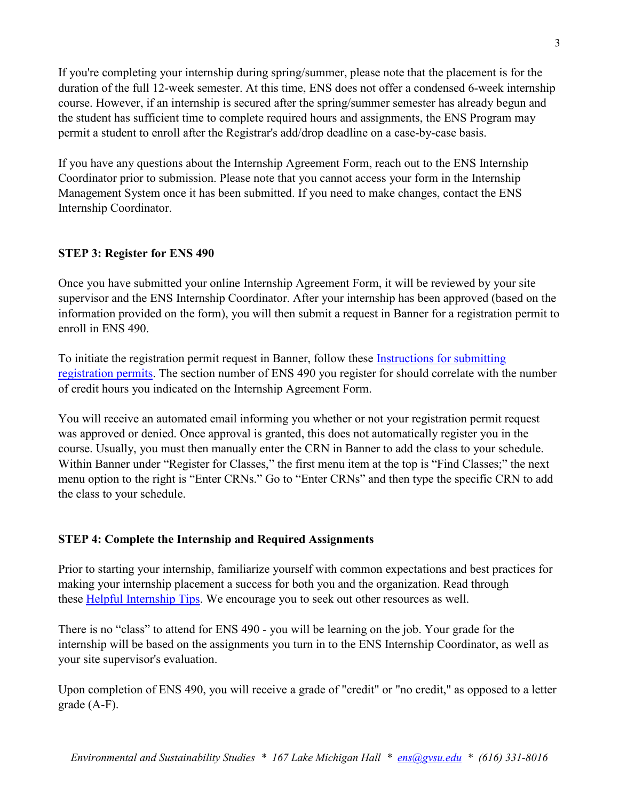If you're completing your internship during spring/summer, please note that the placement is for the duration of the full 12-week semester. At this time, ENS does not offer a condensed 6-week internship course. However, if an internship is secured after the spring/summer semester has already begun and the student has sufficient time to complete required hours and assignments, the ENS Program may permit a student to enroll after the Registrar's add/drop deadline on a case-by-case basis.

If you have any questions about the Internship Agreement Form, reach out to the ENS Internship Coordinator prior to submission. Please note that you cannot access your form in the Internship Management System once it has been submitted. If you need to make changes, contact the ENS Internship Coordinator.

## **STEP 3: Register for ENS 490**

Once you have submitted your online Internship Agreement Form, it will be reviewed by your site supervisor and the ENS Internship Coordinator. After your internship has been approved (based on the information provided on the form), you will then submit a request in Banner for a registration permit to enroll in ENS 490.

To initiate the registration permit request in Banner, follow these [Instructions for submitting](https://t.e2ma.net/click/8cjhpd/sodw0h1/gvinil)  [registration permits.](https://t.e2ma.net/click/8cjhpd/sodw0h1/gvinil) The section number of ENS 490 you register for should correlate with the number of credit hours you indicated on the Internship Agreement Form.

You will receive an automated email informing you whether or not your registration permit request was approved or denied. Once approval is granted, this does not automatically register you in the course. Usually, you must then manually enter the CRN in Banner to add the class to your schedule. Within Banner under "Register for Classes," the first menu item at the top is "Find Classes;" the next menu option to the right is "Enter CRNs." Go to "Enter CRNs" and then type the specific CRN to add the class to your schedule.

### **STEP 4: Complete the Internship and Required Assignments**

Prior to starting your internship, familiarize yourself with common expectations and best practices for making your internship placement a success for both you and the organization. Read through these [Helpful Internship Tips.](https://www.gvsu.edu/cms4/asset/B182EA29-9708-4F6A-1149B443A4F0048B/starting_your_internship-_helpful_tips_ens(3).doc) We encourage you to seek out other resources as well.

There is no "class" to attend for ENS 490 - you will be learning on the job. Your grade for the internship will be based on the assignments you turn in to the ENS Internship Coordinator, as well as your site supervisor's evaluation.

Upon completion of ENS 490, you will receive a grade of "credit" or "no credit," as opposed to a letter grade (A-F).